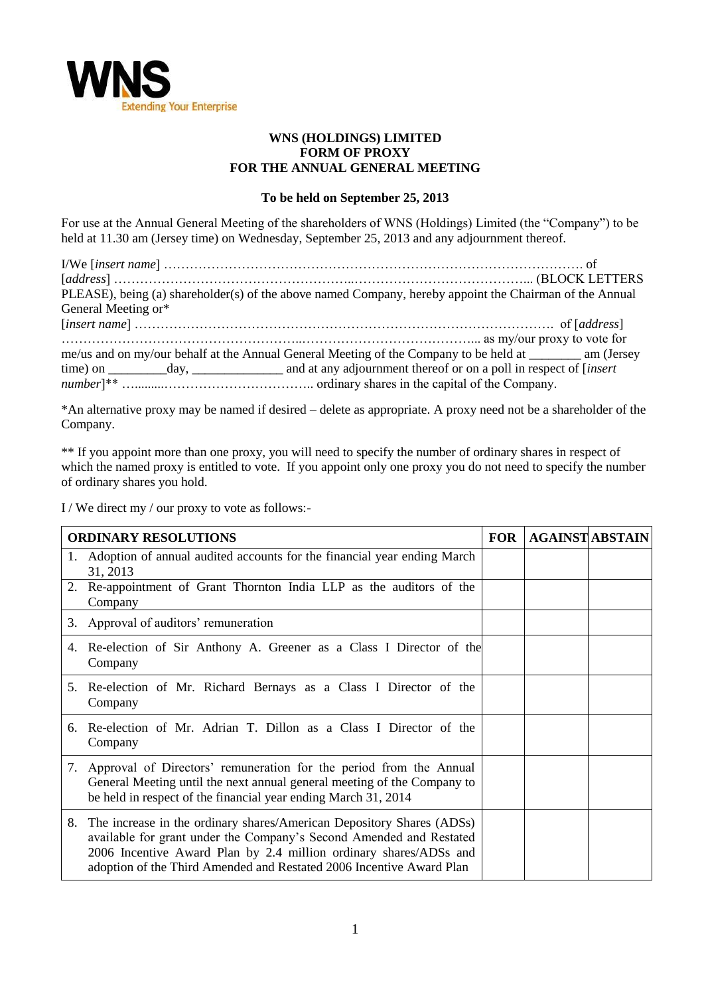

## **WNS (HOLDINGS) LIMITED FORM OF PROXY FOR THE ANNUAL GENERAL MEETING**

## **To be held on September 25, 2013**

For use at the Annual General Meeting of the shareholders of WNS (Holdings) Limited (the "Company") to be held at 11.30 am (Jersey time) on Wednesday, September 25, 2013 and any adjournment thereof.

I/We [*insert name*] ……………………………………………………………………………………. of [*address*] ………………………………………………..…………………………………... (BLOCK LETTERS PLEASE), being (a) shareholder(s) of the above named Company, hereby appoint the Chairman of the Annual General Meeting or\* [*insert name*] ……………………………………………………………………………………. of [*address*] ………………………………………………..…………………………………... as my/our proxy to vote for me/us and on my/our behalf at the Annual General Meeting of the Company to be held at \_\_\_\_\_\_\_\_ am (Jersey time) on \_\_\_\_\_\_\_\_\_day, \_\_\_\_\_\_\_\_\_\_\_\_\_\_ and at any adjournment thereof or on a poll in respect of [*insert number*]\*\* ….........…………………………….. ordinary shares in the capital of the Company.

\*An alternative proxy may be named if desired – delete as appropriate. A proxy need not be a shareholder of the Company.

\*\* If you appoint more than one proxy, you will need to specify the number of ordinary shares in respect of which the named proxy is entitled to vote. If you appoint only one proxy you do not need to specify the number of ordinary shares you hold.

I / We direct my / our proxy to vote as follows:-

| <b>ORDINARY RESOLUTIONS</b> |                                                                                                                                                                                                                                                                                           |  | <b>AGAINST ABSTAIN</b> |
|-----------------------------|-------------------------------------------------------------------------------------------------------------------------------------------------------------------------------------------------------------------------------------------------------------------------------------------|--|------------------------|
| 1.                          | Adoption of annual audited accounts for the financial year ending March<br>31, 2013                                                                                                                                                                                                       |  |                        |
|                             | 2. Re-appointment of Grant Thornton India LLP as the auditors of the<br>Company                                                                                                                                                                                                           |  |                        |
| 3.                          | Approval of auditors' remuneration                                                                                                                                                                                                                                                        |  |                        |
|                             | 4. Re-election of Sir Anthony A. Greener as a Class I Director of the<br>Company                                                                                                                                                                                                          |  |                        |
|                             | 5. Re-election of Mr. Richard Bernays as a Class I Director of the<br>Company                                                                                                                                                                                                             |  |                        |
|                             | 6. Re-election of Mr. Adrian T. Dillon as a Class I Director of the<br>Company                                                                                                                                                                                                            |  |                        |
|                             | 7. Approval of Directors' remuneration for the period from the Annual<br>General Meeting until the next annual general meeting of the Company to<br>be held in respect of the financial year ending March 31, 2014                                                                        |  |                        |
| 8.                          | The increase in the ordinary shares/American Depository Shares (ADSs)<br>available for grant under the Company's Second Amended and Restated<br>2006 Incentive Award Plan by 2.4 million ordinary shares/ADSs and<br>adoption of the Third Amended and Restated 2006 Incentive Award Plan |  |                        |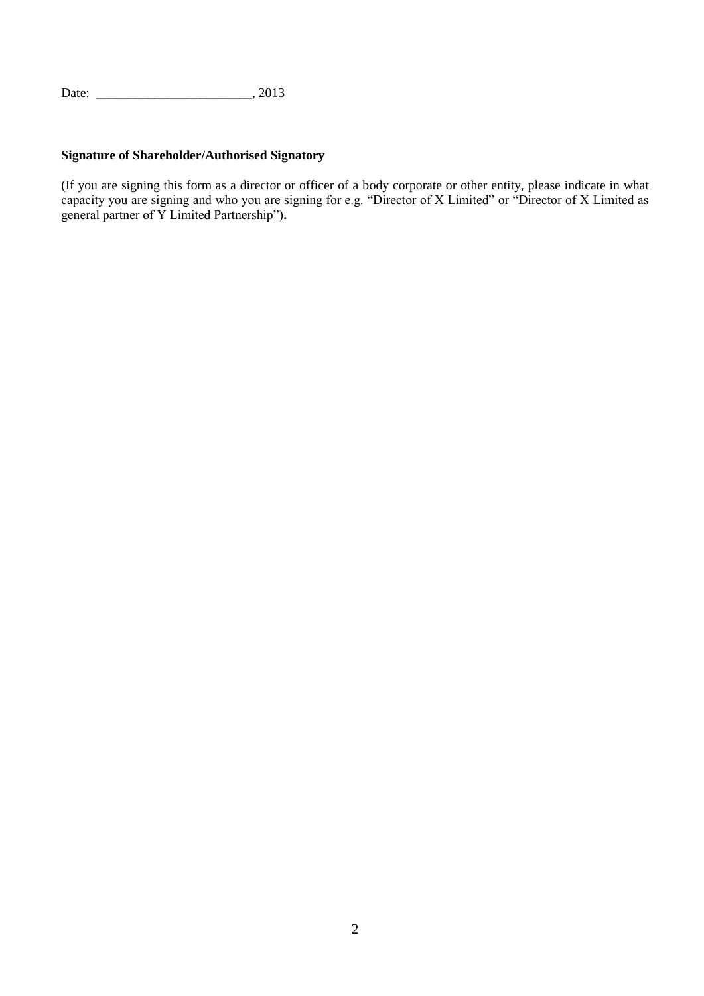Date: \_\_\_\_\_\_\_\_\_\_\_\_\_\_\_\_\_\_\_\_\_\_\_\_, 2013

## **Signature of Shareholder/Authorised Signatory**

(If you are signing this form as a director or officer of a body corporate or other entity, please indicate in what capacity you are signing and who you are signing for e.g. "Director of X Limited" or "Director of X Limited as general partner of Y Limited Partnership")**.**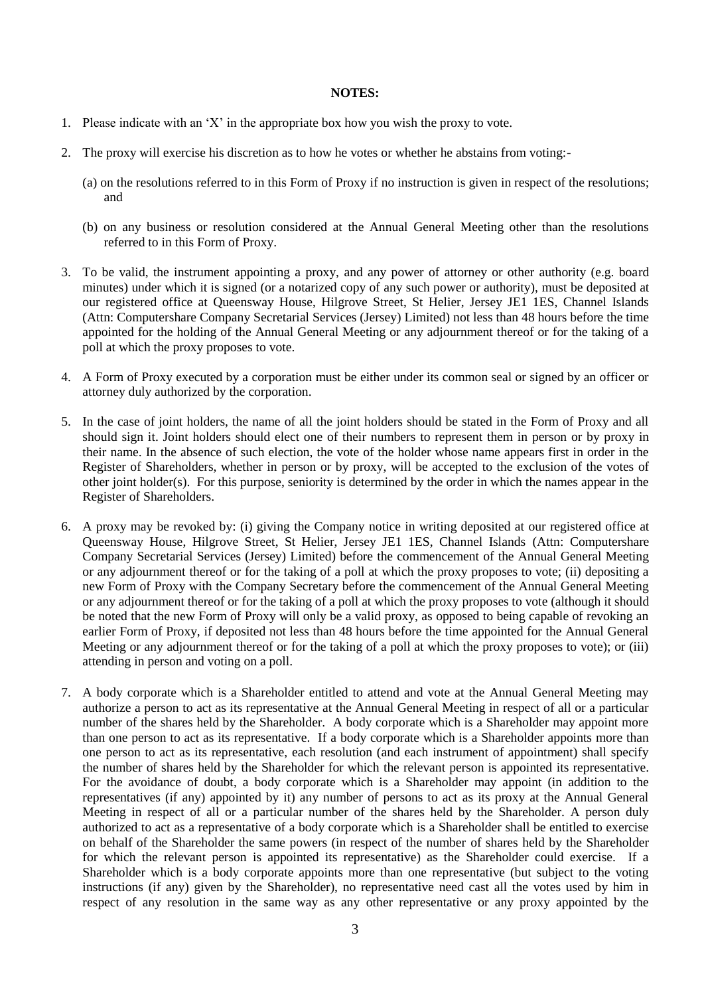## **NOTES:**

- 1. Please indicate with an "X" in the appropriate box how you wish the proxy to vote.
- 2. The proxy will exercise his discretion as to how he votes or whether he abstains from voting:-
	- (a) on the resolutions referred to in this Form of Proxy if no instruction is given in respect of the resolutions; and
	- (b) on any business or resolution considered at the Annual General Meeting other than the resolutions referred to in this Form of Proxy.
- 3. To be valid, the instrument appointing a proxy, and any power of attorney or other authority (e.g. board minutes) under which it is signed (or a notarized copy of any such power or authority), must be deposited at our registered office at Queensway House, Hilgrove Street, St Helier, Jersey JE1 1ES, Channel Islands (Attn: Computershare Company Secretarial Services (Jersey) Limited) not less than 48 hours before the time appointed for the holding of the Annual General Meeting or any adjournment thereof or for the taking of a poll at which the proxy proposes to vote.
- 4. A Form of Proxy executed by a corporation must be either under its common seal or signed by an officer or attorney duly authorized by the corporation.
- 5. In the case of joint holders, the name of all the joint holders should be stated in the Form of Proxy and all should sign it. Joint holders should elect one of their numbers to represent them in person or by proxy in their name. In the absence of such election, the vote of the holder whose name appears first in order in the Register of Shareholders, whether in person or by proxy, will be accepted to the exclusion of the votes of other joint holder(s). For this purpose, seniority is determined by the order in which the names appear in the Register of Shareholders.
- 6. A proxy may be revoked by: (i) giving the Company notice in writing deposited at our registered office at Queensway House, Hilgrove Street, St Helier, Jersey JE1 1ES, Channel Islands (Attn: Computershare Company Secretarial Services (Jersey) Limited) before the commencement of the Annual General Meeting or any adjournment thereof or for the taking of a poll at which the proxy proposes to vote; (ii) depositing a new Form of Proxy with the Company Secretary before the commencement of the Annual General Meeting or any adjournment thereof or for the taking of a poll at which the proxy proposes to vote (although it should be noted that the new Form of Proxy will only be a valid proxy, as opposed to being capable of revoking an earlier Form of Proxy, if deposited not less than 48 hours before the time appointed for the Annual General Meeting or any adjournment thereof or for the taking of a poll at which the proxy proposes to vote); or (iii) attending in person and voting on a poll.
- 7. A body corporate which is a Shareholder entitled to attend and vote at the Annual General Meeting may authorize a person to act as its representative at the Annual General Meeting in respect of all or a particular number of the shares held by the Shareholder. A body corporate which is a Shareholder may appoint more than one person to act as its representative. If a body corporate which is a Shareholder appoints more than one person to act as its representative, each resolution (and each instrument of appointment) shall specify the number of shares held by the Shareholder for which the relevant person is appointed its representative. For the avoidance of doubt, a body corporate which is a Shareholder may appoint (in addition to the representatives (if any) appointed by it) any number of persons to act as its proxy at the Annual General Meeting in respect of all or a particular number of the shares held by the Shareholder. A person duly authorized to act as a representative of a body corporate which is a Shareholder shall be entitled to exercise on behalf of the Shareholder the same powers (in respect of the number of shares held by the Shareholder for which the relevant person is appointed its representative) as the Shareholder could exercise. If a Shareholder which is a body corporate appoints more than one representative (but subject to the voting instructions (if any) given by the Shareholder), no representative need cast all the votes used by him in respect of any resolution in the same way as any other representative or any proxy appointed by the